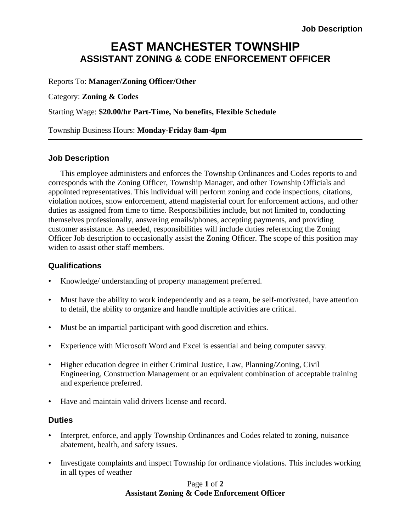# **EAST MANCHESTER TOWNSHIP ASSISTANT ZONING & CODE ENFORCEMENT OFFICER**

Reports To: **Manager/Zoning Officer/Other**

Category: **Zoning & Codes**

Starting Wage: **\$20.00/hr Part-Time, No benefits, Flexible Schedule**

Township Business Hours: **Monday-Friday 8am-4pm**

## **Job Description**

This employee administers and enforces the Township Ordinances and Codes reports to and corresponds with the Zoning Officer, Township Manager, and other Township Officials and appointed representatives. This individual will perform zoning and code inspections, citations, violation notices, snow enforcement, attend magisterial court for enforcement actions, and other duties as assigned from time to time. Responsibilities include, but not limited to, conducting themselves professionally, answering emails/phones, accepting payments, and providing customer assistance. As needed, responsibilities will include duties referencing the Zoning Officer Job description to occasionally assist the Zoning Officer. The scope of this position may widen to assist other staff members.

## **Qualifications**

- Knowledge/ understanding of property management preferred.
- Must have the ability to work independently and as a team, be self-motivated, have attention to detail, the ability to organize and handle multiple activities are critical.
- Must be an impartial participant with good discretion and ethics.
- Experience with Microsoft Word and Excel is essential and being computer savvy.
- Higher education degree in either Criminal Justice, Law, Planning/Zoning, Civil Engineering, Construction Management or an equivalent combination of acceptable training and experience preferred.
- Have and maintain valid drivers license and record.

## **Duties**

- Interpret, enforce, and apply Township Ordinances and Codes related to zoning, nuisance abatement, health, and safety issues.
- Investigate complaints and inspect Township for ordinance violations. This includes working in all types of weather

### Page **1** of **2 Assistant Zoning & Code Enforcement Officer**